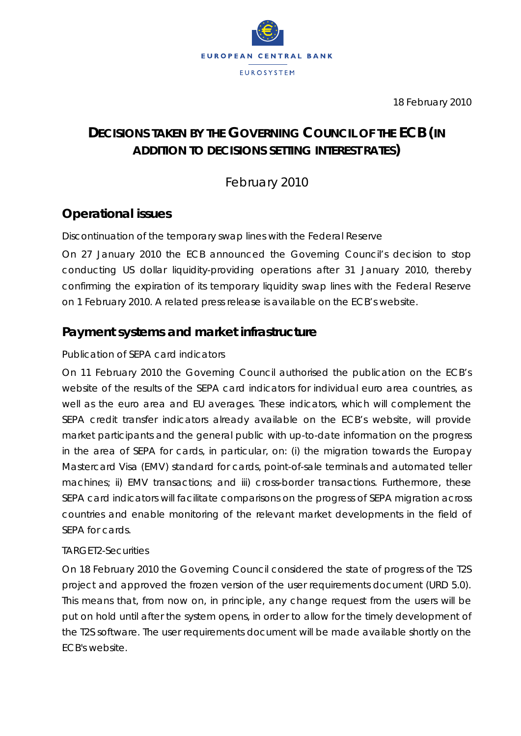

18 February 2010

# **DECISIONS TAKEN BY THE GOVERNING COUNCIL OF THE ECB** *(IN ADDITION TO DECISIONS SETTING INTEREST RATES)*

February 2010

# **Operational issues**

#### *Discontinuation of the temporary swap lines with the Federal Reserve*

On 27 January 2010 the ECB announced the Governing Council's decision to stop conducting US dollar liquidity-providing operations after 31 January 2010, thereby confirming the expiration of its temporary liquidity swap lines with the Federal Reserve on 1 February 2010. A related press release is available on the ECB's website.

# **Payment systems and market infrastructure**

#### *Publication of SEPA card indicators*

On 11 February 2010 the Governing Council authorised the publication on the ECB's website of the results of the SEPA card indicators for individual euro area countries, as well as the euro area and EU averages. These indicators, which will complement the SEPA credit transfer indicators already available on the ECB's website, will provide market participants and the general public with up-to-date information on the progress in the area of SEPA for cards, in particular, on: (i) the migration towards the Europay Mastercard Visa (EMV) standard for cards, point-of-sale terminals and automated teller machines; ii) EMV transactions; and iii) cross-border transactions. Furthermore, these SEPA card indicators will facilitate comparisons on the progress of SEPA migration across countries and enable monitoring of the relevant market developments in the field of SEPA for cards.

#### *TARGET2-Securities*

On 18 February 2010 the Governing Council considered the state of progress of the T2S project and approved the frozen version of the user requirements document (URD 5.0). This means that, from now on, in principle, any change request from the users will be put on hold until after the system opens, in order to allow for the timely development of the T2S software. The user requirements document will be made available shortly on the ECB's website.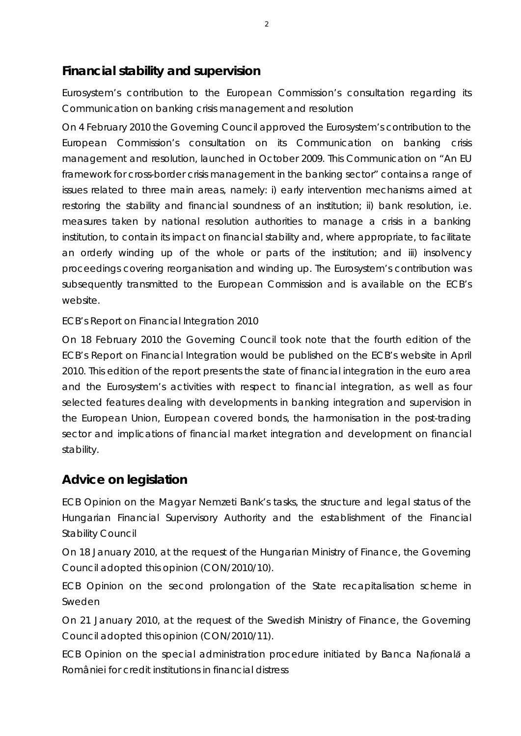# **Financial stability and supervision**

*Eurosystem's contribution to the European Commission's consultation regarding its Communication on banking crisis management and resolution*

On 4 February 2010 the Governing Council approved the Eurosystem's contribution to the European Commission's consultation on its Communication on banking crisis management and resolution, launched in October 2009. This Communication on "An EU framework for cross-border crisis management in the banking sector" contains a range of issues related to three main areas, namely: i) early intervention mechanisms aimed at restoring the stability and financial soundness of an institution; ii) bank resolution, i.e. measures taken by national resolution authorities to manage a crisis in a banking institution, to contain its impact on financial stability and, where appropriate, to facilitate an orderly winding up of the whole or parts of the institution; and iii) insolvency proceedings covering reorganisation and winding up. The Eurosystem's contribution was subsequently transmitted to the European Commission and is available on the ECB's website.

#### *ECB's Report on Financial Integration 2010*

On 18 February 2010 the Governing Council took note that the fourth edition of the ECB's Report on Financial Integration would be published on the ECB's website in April 2010. This edition of the report presents the state of financial integration in the euro area and the Eurosystem's activities with respect to financial integration, as well as four selected features dealing with developments in banking integration and supervision in the European Union, European covered bonds, the harmonisation in the post-trading sector and implications of financial market integration and development on financial stability.

### **Advice on legislation**

*ECB Opinion on the Magyar Nemzeti Bank's tasks, the structure and legal status of the Hungarian Financial Supervisory Authority and the establishment of the Financial Stability Council*

On 18 January 2010, at the request of the Hungarian Ministry of Finance, the Governing Council adopted this opinion (CON/2010/10).

*ECB Opinion on the second prolongation of the State recapitalisation scheme in Sweden*

On 21 January 2010, at the request of the Swedish Ministry of Finance, the Governing Council adopted this opinion (CON/2010/11).

*ECB Opinion on the special administration procedure initiated by Banca Naţională a României for credit institutions in financial distress*